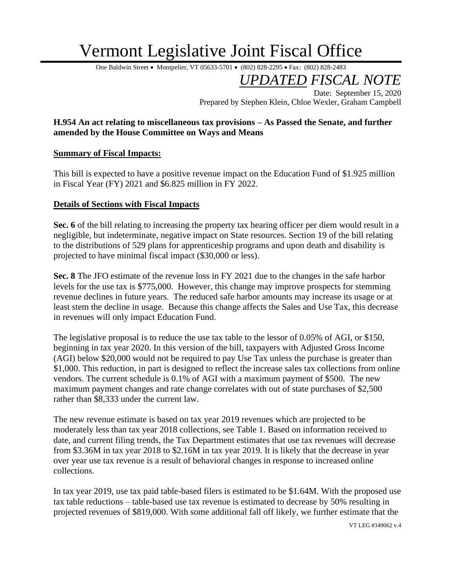## Vermont Legislative Joint Fiscal Office

One Baldwin Street • Montpelier, VT 05633-5701 • (802) 828-2295 • Fax: (802) 828-2483

*UPDATED FISCAL NOTE*

Date: September 15, 2020 Prepared by Stephen Klein, Chloe Wexler, Graham Campbell

## **H.954 An act relating to miscellaneous tax provisions – As Passed the Senate, and further amended by the House Committee on Ways and Means**

## **Summary of Fiscal Impacts:**

This bill is expected to have a positive revenue impact on the Education Fund of \$1.925 million in Fiscal Year (FY) 2021 and \$6.825 million in FY 2022.

## **Details of Sections with Fiscal Impacts**

**Sec. 6** of the bill relating to increasing the property tax hearing officer per diem would result in a negligible, but indeterminate, negative impact on State resources. Section 19 of the bill relating to the distributions of 529 plans for apprenticeship programs and upon death and disability is projected to have minimal fiscal impact (\$30,000 or less).

**Sec. 8** The JFO estimate of the revenue loss in FY 2021 due to the changes in the safe harbor levels for the use tax is \$775,000. However, this change may improve prospects for stemming revenue declines in future years. The reduced safe harbor amounts may increase its usage or at least stem the decline in usage. Because this change affects the Sales and Use Tax, this decrease in revenues will only impact Education Fund.

The legislative proposal is to reduce the use tax table to the lessor of 0.05% of AGI, or \$150, beginning in tax year 2020. In this version of the bill, taxpayers with Adjusted Gross Income (AGI) below \$20,000 would not be required to pay Use Tax unless the purchase is greater than \$1,000. This reduction, in part is designed to reflect the increase sales tax collections from online vendors. The current schedule is 0.1% of AGI with a maximum payment of \$500. The new maximum payment changes and rate change correlates with out of state purchases of \$2,500 rather than \$8,333 under the current law.

The new revenue estimate is based on tax year 2019 revenues which are projected to be moderately less than tax year 2018 collections, see Table 1. Based on information received to date, and current filing trends, the Tax Department estimates that use tax revenues will decrease from \$3.36M in tax year 2018 to \$2.16M in tax year 2019. It is likely that the decrease in year over year use tax revenue is a result of behavioral changes in response to increased online collections.

In tax year 2019, use tax paid table-based filers is estimated to be \$1.64M. With the proposed use tax table reductions – table-based use tax revenue is estimated to decrease by 50% resulting in projected revenues of \$819,000. With some additional fall off likely, we further estimate that the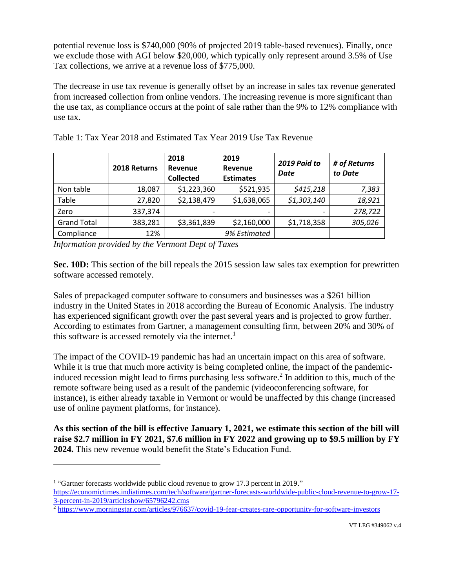potential revenue loss is \$740,000 (90% of projected 2019 table-based revenues). Finally, once we exclude those with AGI below \$20,000, which typically only represent around 3.5% of Use Tax collections, we arrive at a revenue loss of \$775,000.

The decrease in use tax revenue is generally offset by an increase in sales tax revenue generated from increased collection from online vendors. The increasing revenue is more significant than the use tax, as compliance occurs at the point of sale rather than the 9% to 12% compliance with use tax.

|                    | 2018 Returns | 2018<br><b>Revenue</b><br><b>Collected</b> | 2019<br>Revenue<br><b>Estimates</b> | 2019 Paid to<br><b>Date</b> | # of Returns<br>to Date |
|--------------------|--------------|--------------------------------------------|-------------------------------------|-----------------------------|-------------------------|
| Non table          | 18,087       | \$1,223,360                                | \$521,935                           | \$415,218                   | 7,383                   |
| Table              | 27,820       | \$2,138,479                                | \$1,638,065                         | \$1,303,140                 | 18,921                  |
| Zero               | 337,374      | -                                          | $\overline{\phantom{a}}$            |                             | 278,722                 |
| <b>Grand Total</b> | 383,281      | \$3,361,839                                | \$2,160,000                         | \$1,718,358                 | 305,026                 |
| Compliance         | 12%          |                                            | 9% Estimated                        |                             |                         |

Table 1: Tax Year 2018 and Estimated Tax Year 2019 Use Tax Revenue

*Information provided by the Vermont Dept of Taxes*

**Sec. 10D:** This section of the bill repeals the 2015 session law sales tax exemption for prewritten software accessed remotely.

Sales of prepackaged computer software to consumers and businesses was a \$261 billion industry in the United States in 2018 according the Bureau of Economic Analysis. The industry has experienced significant growth over the past several years and is projected to grow further. According to estimates from Gartner, a management consulting firm, between 20% and 30% of this software is accessed remotely via the internet.<sup>1</sup>

The impact of the COVID-19 pandemic has had an uncertain impact on this area of software. While it is true that much more activity is being completed online, the impact of the pandemicinduced recession might lead to firms purchasing less software.<sup>2</sup> In addition to this, much of the remote software being used as a result of the pandemic (videoconferencing software, for instance), is either already taxable in Vermont or would be unaffected by this change (increased use of online payment platforms, for instance).

**As this section of the bill is effective January 1, 2021, we estimate this section of the bill will raise \$2.7 million in FY 2021, \$7.6 million in FY 2022 and growing up to \$9.5 million by FY 2024.** This new revenue would benefit the State's Education Fund.

<sup>&</sup>lt;sup>1</sup> "Gartner forecasts worldwide public cloud revenue to grow 17.3 percent in 2019."

[https://economictimes.indiatimes.com/tech/software/gartner-forecasts-worldwide-public-cloud-revenue-to-grow-17-](https://economictimes.indiatimes.com/tech/software/gartner-forecasts-worldwide-public-cloud-revenue-to-grow-17-3-percent-in-2019/articleshow/65796242.cms) [3-percent-in-2019/articleshow/65796242.cms](https://economictimes.indiatimes.com/tech/software/gartner-forecasts-worldwide-public-cloud-revenue-to-grow-17-3-percent-in-2019/articleshow/65796242.cms)

<sup>&</sup>lt;sup>2</sup> <https://www.morningstar.com/articles/976637/covid-19-fear-creates-rare-opportunity-for-software-investors>